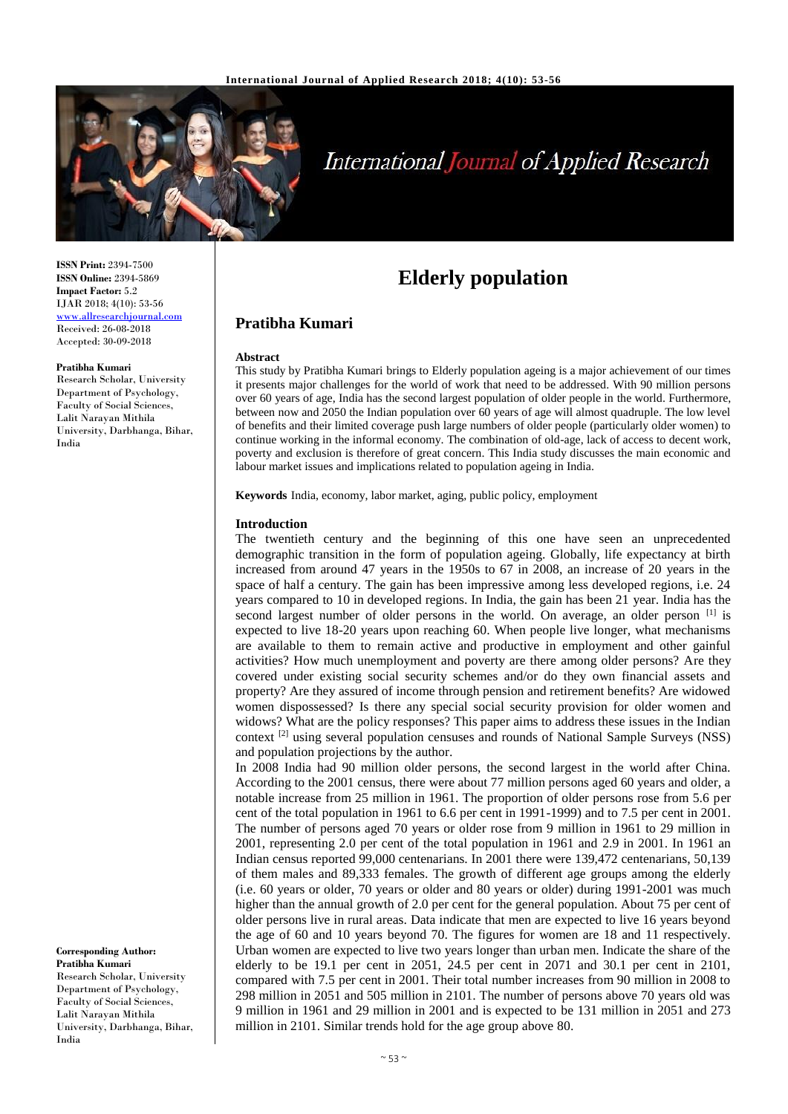

# **International Journal of Applied Research**

**Elderly population**

## **Pratibha Kumari**

#### **Abstract**

This study by Pratibha Kumari brings to Elderly population ageing is a major achievement of our times it presents major challenges for the world of work that need to be addressed. With 90 million persons over 60 years of age, India has the second largest population of older people in the world. Furthermore, between now and 2050 the Indian population over 60 years of age will almost quadruple. The low level of benefits and their limited coverage push large numbers of older people (particularly older women) to continue working in the informal economy. The combination of old-age, lack of access to decent work, poverty and exclusion is therefore of great concern. This India study discusses the main economic and labour market issues and implications related to population ageing in India.

**Keywords** India, economy, labor market, aging, public policy, employment

#### **Introduction**

The twentieth century and the beginning of this one have seen an unprecedented demographic transition in the form of population ageing. Globally, life expectancy at birth increased from around 47 years in the 1950s to 67 in 2008, an increase of 20 years in the space of half a century. The gain has been impressive among less developed regions, i.e. 24 years compared to 10 in developed regions. In India, the gain has been 21 year. India has the second largest number of older persons in the world. On average, an older person [1] is expected to live 18-20 years upon reaching 60. When people live longer, what mechanisms are available to them to remain active and productive in employment and other gainful activities? How much unemployment and poverty are there among older persons? Are they covered under existing social security schemes and/or do they own financial assets and property? Are they assured of income through pension and retirement benefits? Are widowed women dispossessed? Is there any special social security provision for older women and widows? What are the policy responses? This paper aims to address these issues in the Indian context [2] using several population censuses and rounds of National Sample Surveys (NSS) and population projections by the author.

In 2008 India had 90 million older persons, the second largest in the world after China. According to the 2001 census, there were about 77 million persons aged 60 years and older, a notable increase from 25 million in 1961. The proportion of older persons rose from 5.6 per cent of the total population in 1961 to 6.6 per cent in 1991-1999) and to 7.5 per cent in 2001. The number of persons aged 70 years or older rose from 9 million in 1961 to 29 million in 2001, representing 2.0 per cent of the total population in 1961 and 2.9 in 2001. In 1961 an Indian census reported 99,000 centenarians. In 2001 there were 139,472 centenarians, 50,139 of them males and 89,333 females. The growth of different age groups among the elderly (i.e. 60 years or older, 70 years or older and 80 years or older) during 1991-2001 was much higher than the annual growth of 2.0 per cent for the general population. About 75 per cent of older persons live in rural areas. Data indicate that men are expected to live 16 years beyond the age of 60 and 10 years beyond 70. The figures for women are 18 and 11 respectively. Urban women are expected to live two years longer than urban men. Indicate the share of the elderly to be 19.1 per cent in 2051, 24.5 per cent in 2071 and 30.1 per cent in 2101, compared with 7.5 per cent in 2001. Their total number increases from 90 million in 2008 to 298 million in 2051 and 505 million in 2101. The number of persons above 70 years old was 9 million in 1961 and 29 million in 2001 and is expected to be 131 million in 2051 and 273 million in 2101. Similar trends hold for the age group above 80.

**ISSN Print:** 2394-7500 **ISSN Online:** 2394-5869 **Impact Factor:** 5.2 IJAR 2018; 4(10): 53-56 <www.allresearchjournal.com> Received: 26-08-2018 Accepted: 30-09-2018

#### **Pratibha Kumari**

Research Scholar, University Department of Psychology, Faculty of Social Sciences, Lalit Narayan Mithila University, Darbhanga, Bihar, India

**Corresponding Author: Pratibha Kumari** Research Scholar, University Department of Psychology, Faculty of Social Sciences, Lalit Narayan Mithila University, Darbhanga, Bihar,

India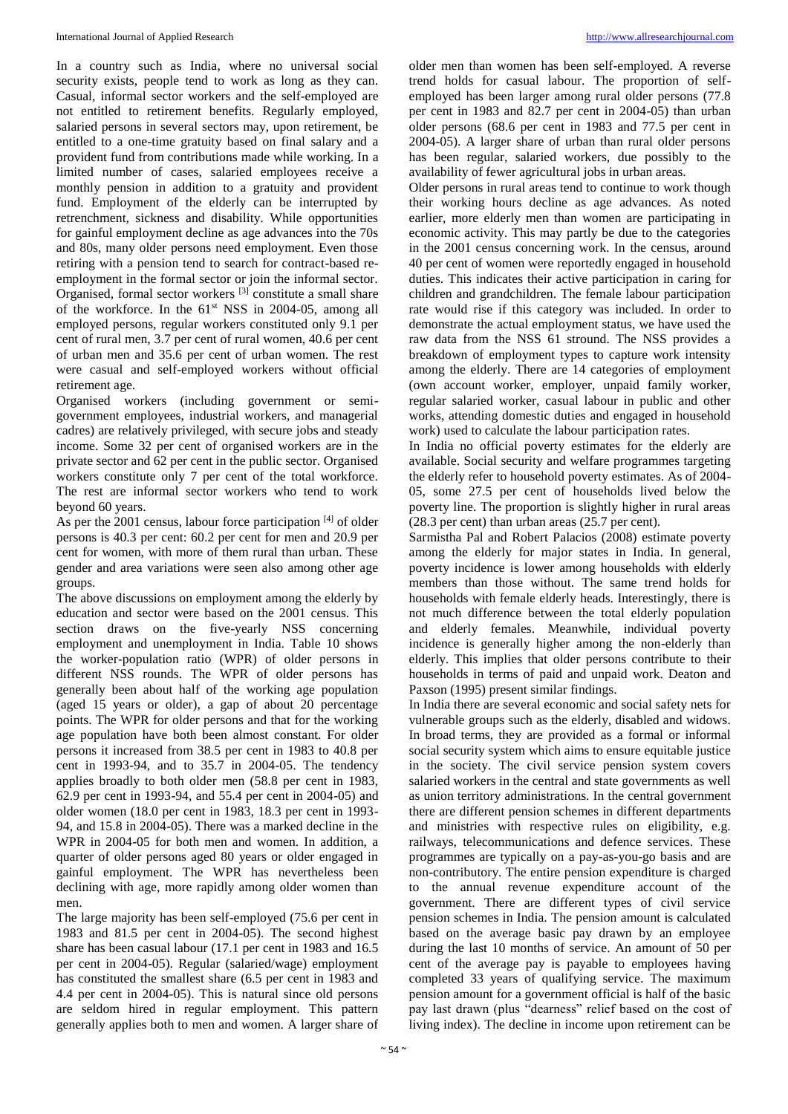In a country such as India, where no universal social security exists, people tend to work as long as they can. Casual, informal sector workers and the self-employed are not entitled to retirement benefits. Regularly employed, salaried persons in several sectors may, upon retirement, be entitled to a one-time gratuity based on final salary and a provident fund from contributions made while working. In a limited number of cases, salaried employees receive a monthly pension in addition to a gratuity and provident fund. Employment of the elderly can be interrupted by retrenchment, sickness and disability. While opportunities for gainful employment decline as age advances into the 70s and 80s, many older persons need employment. Even those retiring with a pension tend to search for contract-based reemployment in the formal sector or join the informal sector. Organised, formal sector workers [3] constitute a small share of the workforce. In the  $61<sup>st</sup>$  NSS in 2004-05, among all employed persons, regular workers constituted only 9.1 per cent of rural men, 3.7 per cent of rural women, 40.6 per cent of urban men and 35.6 per cent of urban women. The rest were casual and self-employed workers without official retirement age.

Organised workers (including government or semigovernment employees, industrial workers, and managerial cadres) are relatively privileged, with secure jobs and steady income. Some 32 per cent of organised workers are in the private sector and 62 per cent in the public sector. Organised workers constitute only 7 per cent of the total workforce. The rest are informal sector workers who tend to work beyond 60 years.

As per the 2001 census, labour force participation [4] of older persons is 40.3 per cent: 60.2 per cent for men and 20.9 per cent for women, with more of them rural than urban. These gender and area variations were seen also among other age groups.

The above discussions on employment among the elderly by education and sector were based on the 2001 census. This section draws on the five-yearly NSS concerning employment and unemployment in India. Table 10 shows the worker-population ratio (WPR) of older persons in different NSS rounds. The WPR of older persons has generally been about half of the working age population (aged 15 years or older), a gap of about 20 percentage points. The WPR for older persons and that for the working age population have both been almost constant. For older persons it increased from 38.5 per cent in 1983 to 40.8 per cent in 1993-94, and to 35.7 in 2004-05. The tendency applies broadly to both older men (58.8 per cent in 1983, 62.9 per cent in 1993-94, and 55.4 per cent in 2004-05) and older women (18.0 per cent in 1983, 18.3 per cent in 1993- 94, and 15.8 in 2004-05). There was a marked decline in the WPR in 2004-05 for both men and women. In addition, a quarter of older persons aged 80 years or older engaged in gainful employment. The WPR has nevertheless been declining with age, more rapidly among older women than men.

The large majority has been self-employed (75.6 per cent in 1983 and 81.5 per cent in 2004-05). The second highest share has been casual labour (17.1 per cent in 1983 and 16.5 per cent in 2004-05). Regular (salaried/wage) employment has constituted the smallest share (6.5 per cent in 1983 and 4.4 per cent in 2004-05). This is natural since old persons are seldom hired in regular employment. This pattern generally applies both to men and women. A larger share of

older men than women has been self-employed. A reverse trend holds for casual labour. The proportion of selfemployed has been larger among rural older persons (77.8 per cent in 1983 and 82.7 per cent in 2004-05) than urban older persons (68.6 per cent in 1983 and 77.5 per cent in 2004-05). A larger share of urban than rural older persons has been regular, salaried workers, due possibly to the availability of fewer agricultural jobs in urban areas.

Older persons in rural areas tend to continue to work though their working hours decline as age advances. As noted earlier, more elderly men than women are participating in economic activity. This may partly be due to the categories in the 2001 census concerning work. In the census, around 40 per cent of women were reportedly engaged in household duties. This indicates their active participation in caring for children and grandchildren. The female labour participation rate would rise if this category was included. In order to demonstrate the actual employment status, we have used the raw data from the NSS 61 stround. The NSS provides a breakdown of employment types to capture work intensity among the elderly. There are 14 categories of employment (own account worker, employer, unpaid family worker, regular salaried worker, casual labour in public and other works, attending domestic duties and engaged in household work) used to calculate the labour participation rates.

In India no official poverty estimates for the elderly are available. Social security and welfare programmes targeting the elderly refer to household poverty estimates. As of 2004- 05, some 27.5 per cent of households lived below the poverty line. The proportion is slightly higher in rural areas (28.3 per cent) than urban areas (25.7 per cent).

Sarmistha Pal and Robert Palacios (2008) estimate poverty among the elderly for major states in India. In general, poverty incidence is lower among households with elderly members than those without. The same trend holds for households with female elderly heads. Interestingly, there is not much difference between the total elderly population and elderly females. Meanwhile, individual poverty incidence is generally higher among the non-elderly than elderly. This implies that older persons contribute to their households in terms of paid and unpaid work. Deaton and Paxson (1995) present similar findings.

In India there are several economic and social safety nets for vulnerable groups such as the elderly, disabled and widows. In broad terms, they are provided as a formal or informal social security system which aims to ensure equitable justice in the society. The civil service pension system covers salaried workers in the central and state governments as well as union territory administrations. In the central government there are different pension schemes in different departments and ministries with respective rules on eligibility, e.g. railways, telecommunications and defence services. These programmes are typically on a pay-as-you-go basis and are non-contributory. The entire pension expenditure is charged to the annual revenue expenditure account of the government. There are different types of civil service pension schemes in India. The pension amount is calculated based on the average basic pay drawn by an employee during the last 10 months of service. An amount of 50 per cent of the average pay is payable to employees having completed 33 years of qualifying service. The maximum pension amount for a government official is half of the basic pay last drawn (plus "dearness" relief based on the cost of living index). The decline in income upon retirement can be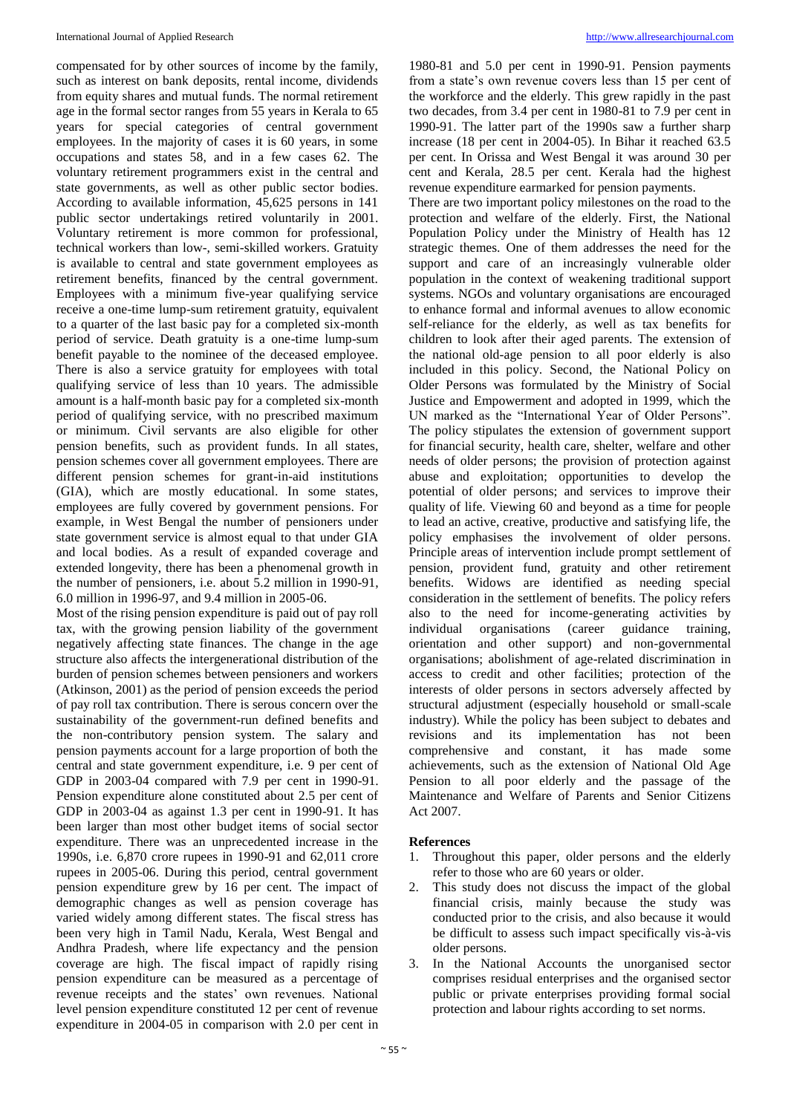compensated for by other sources of income by the family, such as interest on bank deposits, rental income, dividends from equity shares and mutual funds. The normal retirement age in the formal sector ranges from 55 years in Kerala to 65 years for special categories of central government employees. In the majority of cases it is 60 years, in some occupations and states 58, and in a few cases 62. The voluntary retirement programmers exist in the central and state governments, as well as other public sector bodies. According to available information, 45,625 persons in 141 public sector undertakings retired voluntarily in 2001. Voluntary retirement is more common for professional, technical workers than low-, semi-skilled workers. Gratuity is available to central and state government employees as retirement benefits, financed by the central government. Employees with a minimum five-year qualifying service receive a one-time lump-sum retirement gratuity, equivalent to a quarter of the last basic pay for a completed six-month period of service. Death gratuity is a one-time lump-sum benefit payable to the nominee of the deceased employee. There is also a service gratuity for employees with total qualifying service of less than 10 years. The admissible amount is a half-month basic pay for a completed six-month period of qualifying service, with no prescribed maximum or minimum. Civil servants are also eligible for other pension benefits, such as provident funds. In all states, pension schemes cover all government employees. There are different pension schemes for grant-in-aid institutions (GIA), which are mostly educational. In some states, employees are fully covered by government pensions. For example, in West Bengal the number of pensioners under state government service is almost equal to that under GIA and local bodies. As a result of expanded coverage and extended longevity, there has been a phenomenal growth in the number of pensioners, i.e. about 5.2 million in 1990-91, 6.0 million in 1996-97, and 9.4 million in 2005-06.

Most of the rising pension expenditure is paid out of pay roll tax, with the growing pension liability of the government negatively affecting state finances. The change in the age structure also affects the intergenerational distribution of the burden of pension schemes between pensioners and workers (Atkinson, 2001) as the period of pension exceeds the period of pay roll tax contribution. There is serous concern over the sustainability of the government-run defined benefits and the non-contributory pension system. The salary and pension payments account for a large proportion of both the central and state government expenditure, i.e. 9 per cent of GDP in 2003-04 compared with 7.9 per cent in 1990-91. Pension expenditure alone constituted about 2.5 per cent of GDP in 2003-04 as against 1.3 per cent in 1990-91. It has been larger than most other budget items of social sector expenditure. There was an unprecedented increase in the 1990s, i.e. 6,870 crore rupees in 1990-91 and 62,011 crore rupees in 2005-06. During this period, central government pension expenditure grew by 16 per cent. The impact of demographic changes as well as pension coverage has varied widely among different states. The fiscal stress has been very high in Tamil Nadu, Kerala, West Bengal and Andhra Pradesh, where life expectancy and the pension coverage are high. The fiscal impact of rapidly rising pension expenditure can be measured as a percentage of revenue receipts and the states' own revenues. National level pension expenditure constituted 12 per cent of revenue expenditure in 2004-05 in comparison with 2.0 per cent in

1980-81 and 5.0 per cent in 1990-91. Pension payments from a state's own revenue covers less than 15 per cent of the workforce and the elderly. This grew rapidly in the past two decades, from 3.4 per cent in 1980-81 to 7.9 per cent in 1990-91. The latter part of the 1990s saw a further sharp increase (18 per cent in 2004-05). In Bihar it reached 63.5 per cent. In Orissa and West Bengal it was around 30 per cent and Kerala, 28.5 per cent. Kerala had the highest revenue expenditure earmarked for pension payments.

There are two important policy milestones on the road to the protection and welfare of the elderly. First, the National Population Policy under the Ministry of Health has 12 strategic themes. One of them addresses the need for the support and care of an increasingly vulnerable older population in the context of weakening traditional support systems. NGOs and voluntary organisations are encouraged to enhance formal and informal avenues to allow economic self-reliance for the elderly, as well as tax benefits for children to look after their aged parents. The extension of the national old-age pension to all poor elderly is also included in this policy. Second, the National Policy on Older Persons was formulated by the Ministry of Social Justice and Empowerment and adopted in 1999, which the UN marked as the "International Year of Older Persons". The policy stipulates the extension of government support for financial security, health care, shelter, welfare and other needs of older persons; the provision of protection against abuse and exploitation; opportunities to develop the potential of older persons; and services to improve their quality of life. Viewing 60 and beyond as a time for people to lead an active, creative, productive and satisfying life, the policy emphasises the involvement of older persons. Principle areas of intervention include prompt settlement of pension, provident fund, gratuity and other retirement benefits. Widows are identified as needing special consideration in the settlement of benefits. The policy refers also to the need for income-generating activities by individual organisations (career guidance training, orientation and other support) and non-governmental organisations; abolishment of age-related discrimination in access to credit and other facilities; protection of the interests of older persons in sectors adversely affected by structural adjustment (especially household or small-scale industry). While the policy has been subject to debates and revisions and its implementation has not been comprehensive and constant, it has made some achievements, such as the extension of National Old Age Pension to all poor elderly and the passage of the Maintenance and Welfare of Parents and Senior Citizens Act 2007.

### **References**

- 1. Throughout this paper, older persons and the elderly refer to those who are 60 years or older.
- 2. This study does not discuss the impact of the global financial crisis, mainly because the study was conducted prior to the crisis, and also because it would be difficult to assess such impact specifically vis-à-vis older persons.
- 3. In the National Accounts the unorganised sector comprises residual enterprises and the organised sector public or private enterprises providing formal social protection and labour rights according to set norms.